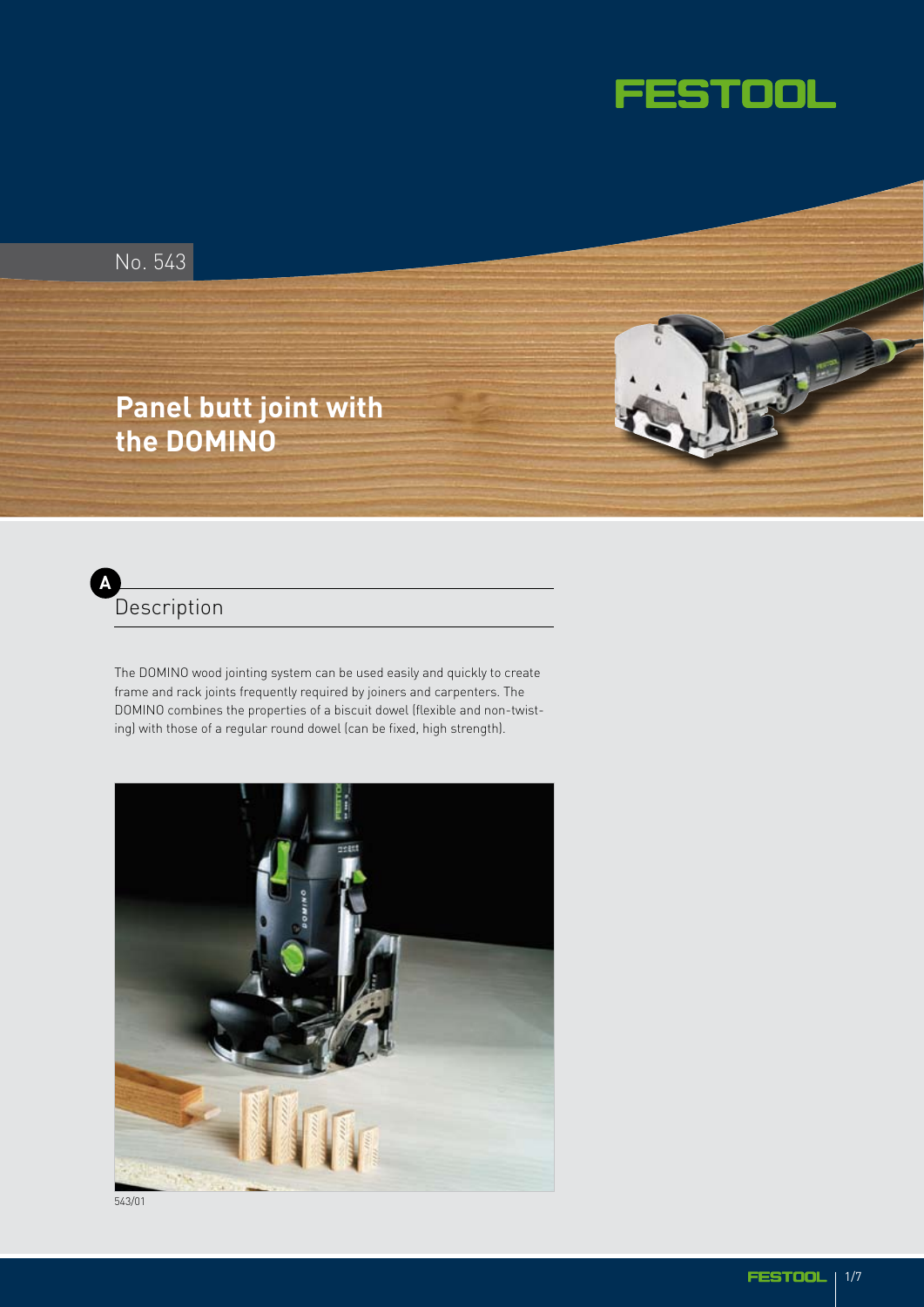

**DOMESTIC** 

JE

No. 543

# **Panel butt joint with the DOMINO**



The DOMINO wood jointing system can be used easily and quickly to create frame and rack joints frequently required by joiners and carpenters. The DOMINO combines the properties of a biscuit dowel (flexible and non-twisting) with those of a regular round dowel (can be fixed, high strength).



543/01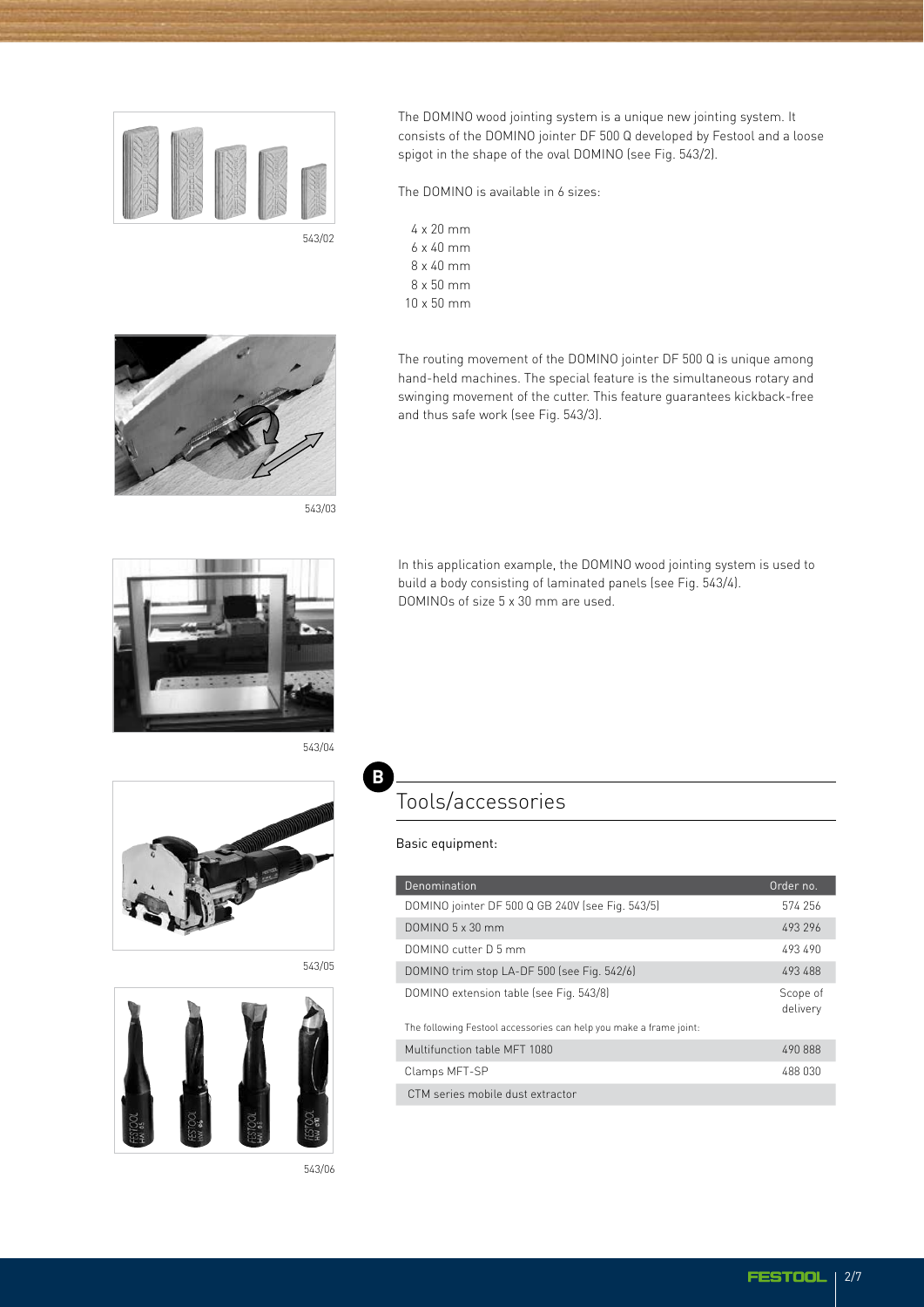

The DOMINO wood jointing system is a unique new jointing system. It consists of the DOMINO jointer DF 500 Q developed by Festool and a loose spigot in the shape of the oval DOMINO (see Fig. 543/2).

The DOMINO is available in 6 sizes:

and thus safe work (see Fig. 543/3).

4 x 20 mm 6 x 40 mm 8 x 40 mm 8 x 50 mm 10 x 50 mm



543/03



In this application example, the DOMINO wood jointing system is used to build a body consisting of laminated panels (see Fig. 543/4). DOMINOs of size 5 x 30 mm are used.

The routing movement of the DOMINO jointer DF 500 Q is unique among hand-held machines. The special feature is the simultaneous rotary and swinging movement of the cutter. This feature guarantees kickback-free







543/06

#### Tools/accessories

Basic equipment:

**B**

| Denomination                                                       | Order no.            |
|--------------------------------------------------------------------|----------------------|
| DOMINO jointer DF 500 Q GB 240V (see Fig. 543/5)                   | 574 256              |
| $DOMINO.5 \times 30$ mm                                            | 493 296              |
| DOMINO cutter D.5 mm                                               | 493 490              |
| DOMINO trim stop LA-DF 500 (see Fig. 542/6)                        | 493 488              |
| DOMINO extension table (see Fig. 543/8)                            | Scope of<br>delivery |
| The following Festool accessories can help you make a frame joint: |                      |
| Multifunction table MFT 1080                                       | 490 888              |
| Clamps MFT-SP                                                      | 488 030              |
| CTM series mobile dust extractor                                   |                      |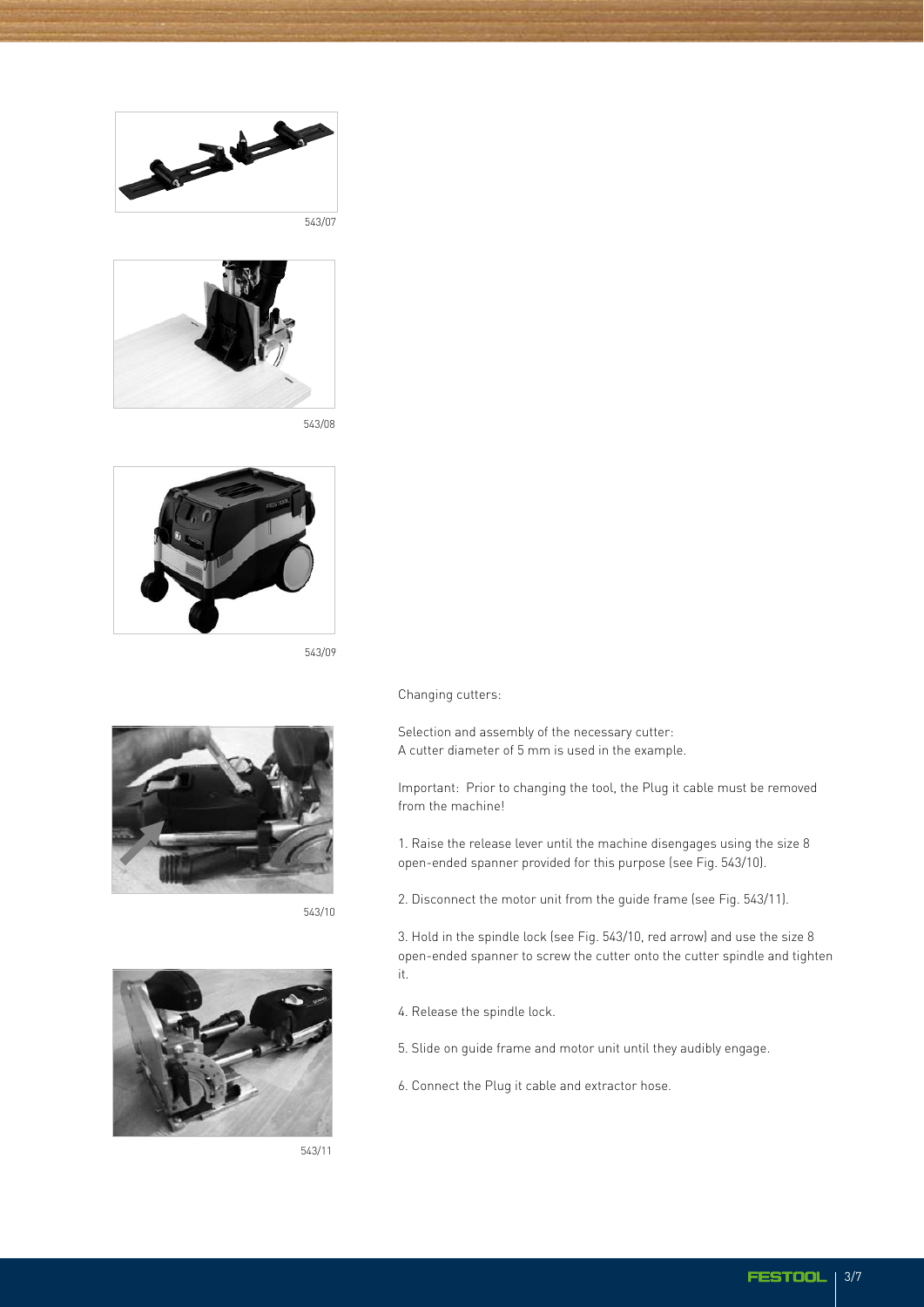



543/08



543/09



543/10



543/11

Changing cutters:

Selection and assembly of the necessary cutter: A cutter diameter of 5 mm is used in the example.

Important: Prior to changing the tool, the Plug it cable must be removed from the machine!

1. Raise the release lever until the machine disengages using the size 8 open-ended spanner provided for this purpose (see Fig. 543/10).

2. Disconnect the motor unit from the guide frame (see Fig. 543/11).

3. Hold in the spindle lock (see Fig. 543/10, red arrow) and use the size 8 open-ended spanner to screw the cutter onto the cutter spindle and tighten it.

- 4. Release the spindle lock.
- 5. Slide on guide frame and motor unit until they audibly engage.
- 6. Connect the Plug it cable and extractor hose.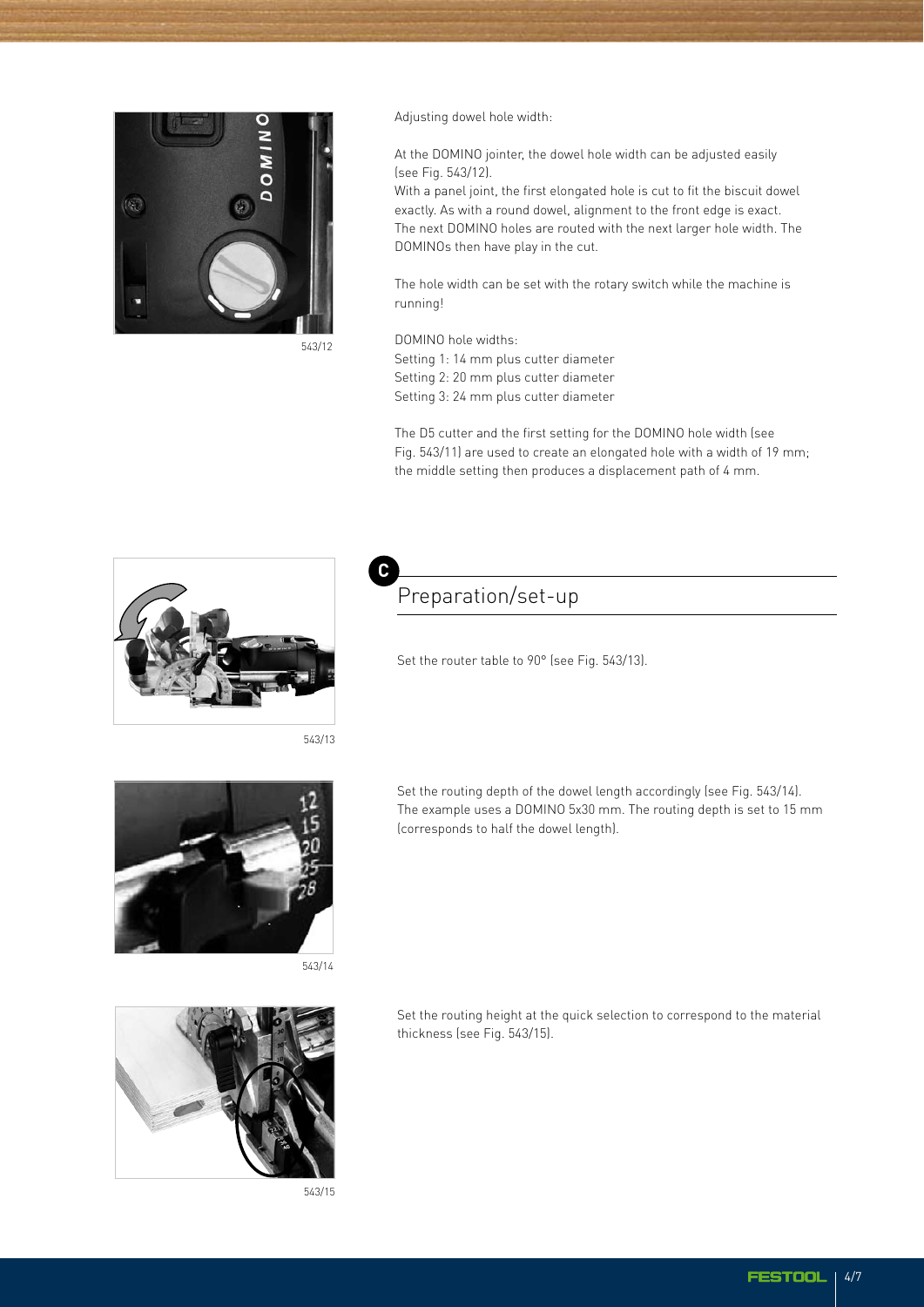

Adjusting dowel hole width:

At the DOMINO jointer, the dowel hole width can be adjusted easily (see Fig. 543/12).

With a panel joint, the first elongated hole is cut to fit the biscuit dowel exactly. As with a round dowel, alignment to the front edge is exact. The next DOMINO holes are routed with the next larger hole width. The DOMINOs then have play in the cut.

The hole width can be set with the rotary switch while the machine is running!

DOMINO hole widths:

Setting 1: 14 mm plus cutter diameter Setting 2: 20 mm plus cutter diameter Setting 3: 24 mm plus cutter diameter

The D5 cutter and the first setting for the DOMINO hole width (see Fig. 543/11) are used to create an elongated hole with a width of 19 mm; the middle setting then produces a displacement path of 4 mm.



543/13

**C**



543/14



543/15

### Preparation/set-up

Set the router table to 90° (see Fig. 543/13).

Set the routing depth of the dowel length accordingly (see Fig. 543/14). The example uses a DOMINO 5x30 mm. The routing depth is set to 15 mm (corresponds to half the dowel length).

Set the routing height at the quick selection to correspond to the material thickness (see Fig. 543/15).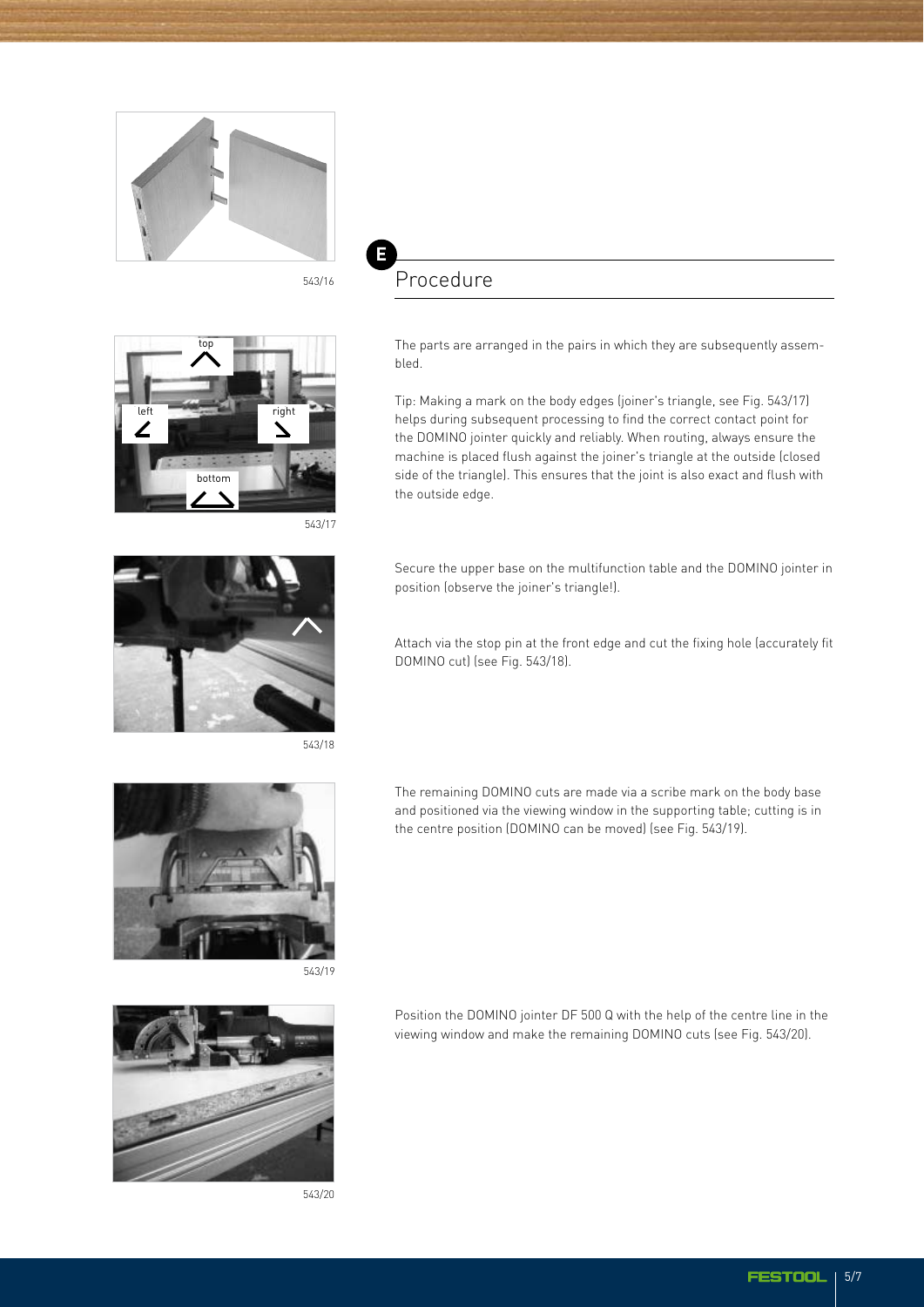



**E**



543/17



543/18



543/19



543/20

The parts are arranged in the pairs in which they are subsequently assembled.

Tip: Making a mark on the body edges (joiner's triangle, see Fig. 543/17) helps during subsequent processing to find the correct contact point for the DOMINO jointer quickly and reliably. When routing, always ensure the machine is placed flush against the joiner's triangle at the outside (closed side of the triangle). This ensures that the joint is also exact and flush with the outside edge.

Secure the upper base on the multifunction table and the DOMINO jointer in position (observe the joiner's triangle!).

Attach via the stop pin at the front edge and cut the fixing hole (accurately fit DOMINO cut) (see Fig. 543/18).

The remaining DOMINO cuts are made via a scribe mark on the body base and positioned via the viewing window in the supporting table; cutting is in the centre position (DOMINO can be moved) (see Fig. 543/19).

Position the DOMINO jointer DF 500 Q with the help of the centre line in the viewing window and make the remaining DOMINO cuts (see Fig. 543/20).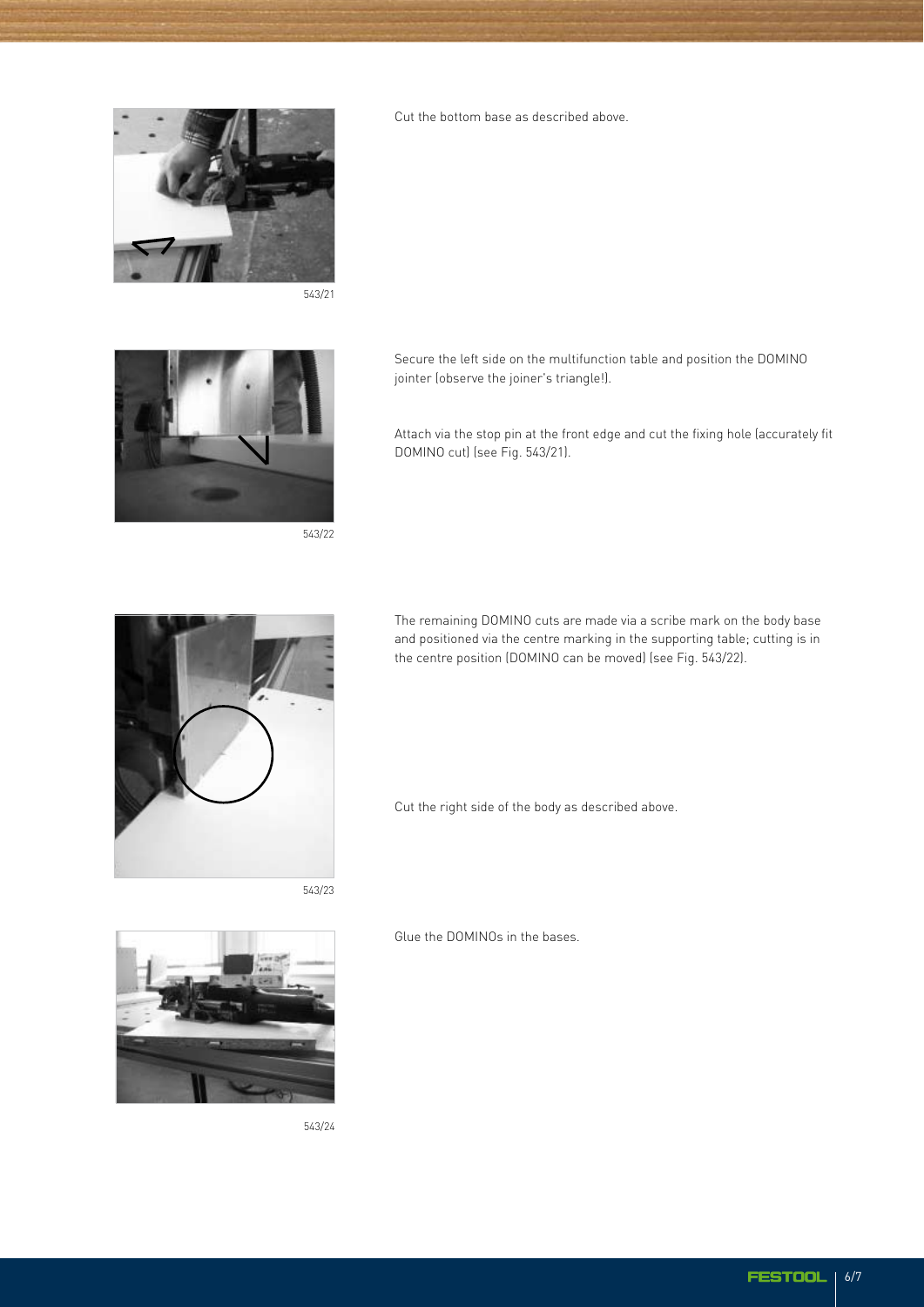



543/22



543/23



543/24

Cut the bottom base as described above.

Secure the left side on the multifunction table and position the DOMINO jointer (observe the joiner's triangle!).

Attach via the stop pin at the front edge and cut the fixing hole (accurately fit DOMINO cut) (see Fig. 543/21).

The remaining DOMINO cuts are made via a scribe mark on the body base and positioned via the centre marking in the supporting table; cutting is in the centre position (DOMINO can be moved) (see Fig. 543/22).

Cut the right side of the body as described above.

Glue the DOMINOs in the bases.